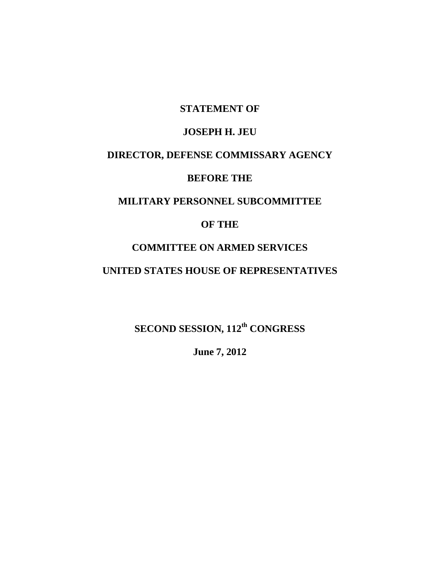#### **STATEMENT OF**

# **JOSEPH H. JEU**

# **DIRECTOR, DEFENSE COMMISSARY AGENCY**

#### **BEFORE THE**

# **MILITARY PERSONNEL SUBCOMMITTEE**

# **OF THE**

#### **COMMITTEE ON ARMED SERVICES**

## **UNITED STATES HOUSE OF REPRESENTATIVES**

**SECOND SESSION, 112th CONGRESS**

**June 7, 2012**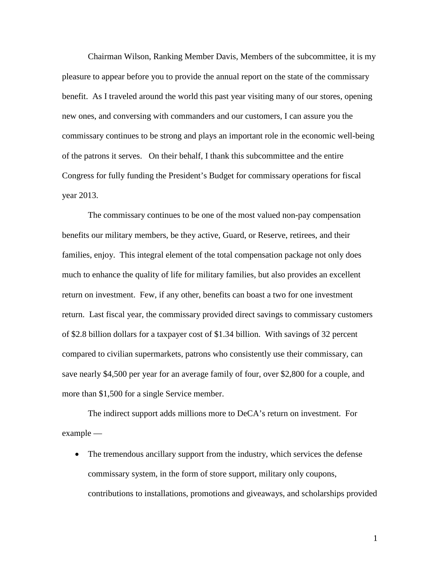Chairman Wilson, Ranking Member Davis, Members of the subcommittee, it is my pleasure to appear before you to provide the annual report on the state of the commissary benefit. As I traveled around the world this past year visiting many of our stores, opening new ones, and conversing with commanders and our customers, I can assure you the commissary continues to be strong and plays an important role in the economic well-being of the patrons it serves. On their behalf, I thank this subcommittee and the entire Congress for fully funding the President's Budget for commissary operations for fiscal year 2013.

The commissary continues to be one of the most valued non-pay compensation benefits our military members, be they active, Guard, or Reserve, retirees, and their families, enjoy. This integral element of the total compensation package not only does much to enhance the quality of life for military families, but also provides an excellent return on investment. Few, if any other, benefits can boast a two for one investment return. Last fiscal year, the commissary provided direct savings to commissary customers of \$2.8 billion dollars for a taxpayer cost of \$1.34 billion. With savings of 32 percent compared to civilian supermarkets, patrons who consistently use their commissary, can save nearly \$4,500 per year for an average family of four, over \$2,800 for a couple, and more than \$1,500 for a single Service member.

The indirect support adds millions more to DeCA's return on investment. For example —

The tremendous ancillary support from the industry, which services the defense commissary system, in the form of store support, military only coupons, contributions to installations, promotions and giveaways, and scholarships provided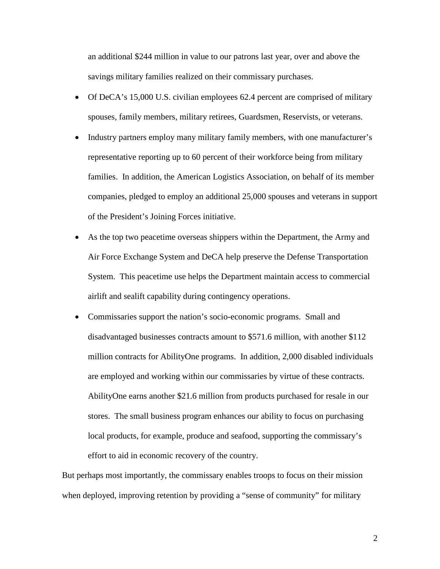an additional \$244 million in value to our patrons last year, over and above the savings military families realized on their commissary purchases.

- Of DeCA's 15,000 U.S. civilian employees 62.4 percent are comprised of military spouses, family members, military retirees, Guardsmen, Reservists, or veterans.
- Industry partners employ many military family members, with one manufacturer's representative reporting up to 60 percent of their workforce being from military families. In addition, the American Logistics Association, on behalf of its member companies, pledged to employ an additional 25,000 spouses and veterans in support of the President's Joining Forces initiative.
- As the top two peacetime overseas shippers within the Department, the Army and Air Force Exchange System and DeCA help preserve the Defense Transportation System. This peacetime use helps the Department maintain access to commercial airlift and sealift capability during contingency operations.
- Commissaries support the nation's socio-economic programs. Small and disadvantaged businesses contracts amount to \$571.6 million, with another \$112 million contracts for AbilityOne programs. In addition, 2,000 disabled individuals are employed and working within our commissaries by virtue of these contracts. AbilityOne earns another \$21.6 million from products purchased for resale in our stores. The small business program enhances our ability to focus on purchasing local products, for example, produce and seafood, supporting the commissary's effort to aid in economic recovery of the country.

But perhaps most importantly, the commissary enables troops to focus on their mission when deployed, improving retention by providing a "sense of community" for military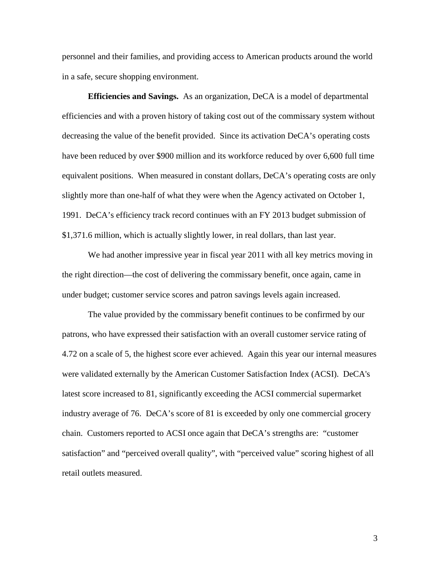personnel and their families, and providing access to American products around the world in a safe, secure shopping environment.

**Efficiencies and Savings.** As an organization, DeCA is a model of departmental efficiencies and with a proven history of taking cost out of the commissary system without decreasing the value of the benefit provided. Since its activation DeCA's operating costs have been reduced by over \$900 million and its workforce reduced by over 6,600 full time equivalent positions. When measured in constant dollars, DeCA's operating costs are only slightly more than one-half of what they were when the Agency activated on October 1, 1991. DeCA's efficiency track record continues with an FY 2013 budget submission of \$1,371.6 million, which is actually slightly lower, in real dollars, than last year.

We had another impressive year in fiscal year 2011 with all key metrics moving in the right direction—the cost of delivering the commissary benefit, once again, came in under budget; customer service scores and patron savings levels again increased.

The value provided by the commissary benefit continues to be confirmed by our patrons, who have expressed their satisfaction with an overall customer service rating of 4.72 on a scale of 5, the highest score ever achieved. Again this year our internal measures were validated externally by the American Customer Satisfaction Index (ACSI). DeCA's latest score increased to 81, significantly exceeding the ACSI commercial supermarket industry average of 76. DeCA's score of 81 is exceeded by only one commercial grocery chain. Customers reported to ACSI once again that DeCA's strengths are: "customer satisfaction" and "perceived overall quality", with "perceived value" scoring highest of all retail outlets measured.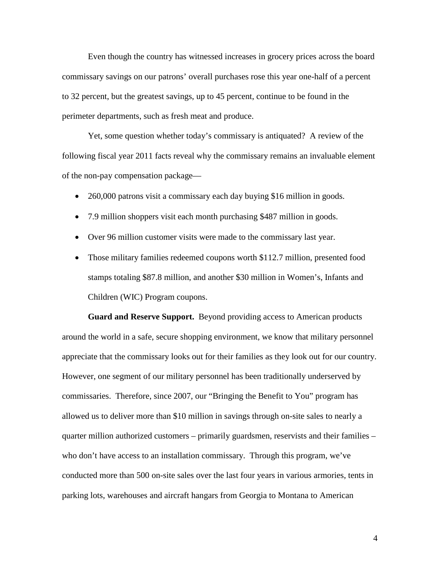Even though the country has witnessed increases in grocery prices across the board commissary savings on our patrons' overall purchases rose this year one-half of a percent to 32 percent, but the greatest savings, up to 45 percent, continue to be found in the perimeter departments, such as fresh meat and produce.

Yet, some question whether today's commissary is antiquated? A review of the following fiscal year 2011 facts reveal why the commissary remains an invaluable element of the non-pay compensation package—

- 260,000 patrons visit a commissary each day buying \$16 million in goods.
- 7.9 million shoppers visit each month purchasing \$487 million in goods.
- Over 96 million customer visits were made to the commissary last year.
- Those military families redeemed coupons worth \$112.7 million, presented food stamps totaling \$87.8 million, and another \$30 million in Women's, Infants and Children (WIC) Program coupons.

**Guard and Reserve Support.** Beyond providing access to American products around the world in a safe, secure shopping environment, we know that military personnel appreciate that the commissary looks out for their families as they look out for our country. However, one segment of our military personnel has been traditionally underserved by commissaries. Therefore, since 2007, our "Bringing the Benefit to You" program has allowed us to deliver more than \$10 million in savings through on-site sales to nearly a quarter million authorized customers – primarily guardsmen, reservists and their families – who don't have access to an installation commissary. Through this program, we've conducted more than 500 on-site sales over the last four years in various armories, tents in parking lots, warehouses and aircraft hangars from Georgia to Montana to American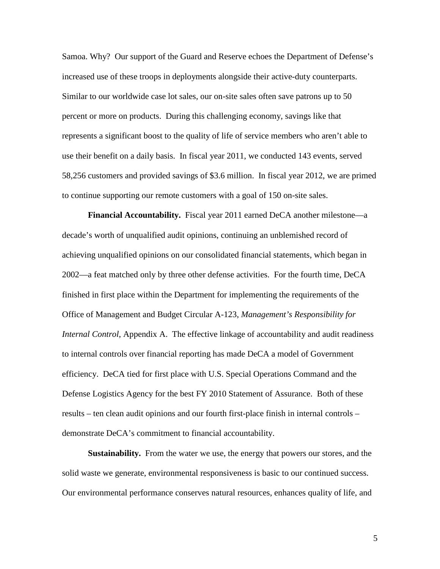Samoa. Why? Our support of the Guard and Reserve echoes the Department of Defense's increased use of these troops in deployments alongside their active-duty counterparts. Similar to our worldwide case lot sales, our on-site sales often save patrons up to 50 percent or more on products. During this challenging economy, savings like that represents a significant boost to the quality of life of service members who aren't able to use their benefit on a daily basis. In fiscal year 2011, we conducted 143 events, served 58,256 customers and provided savings of \$3.6 million. In fiscal year 2012, we are primed to continue supporting our remote customers with a goal of 150 on-site sales.

**Financial Accountability.** Fiscal year 2011 earned DeCA another milestone—a decade's worth of unqualified audit opinions, continuing an unblemished record of achieving unqualified opinions on our consolidated financial statements, which began in 2002—a feat matched only by three other defense activities. For the fourth time, DeCA finished in first place within the Department for implementing the requirements of the Office of Management and Budget Circular A-123, *Management's Responsibility for Internal Control*, Appendix A. The effective linkage of accountability and audit readiness to internal controls over financial reporting has made DeCA a model of Government efficiency. DeCA tied for first place with U.S. Special Operations Command and the Defense Logistics Agency for the best FY 2010 Statement of Assurance. Both of these results – ten clean audit opinions and our fourth first-place finish in internal controls – demonstrate DeCA's commitment to financial accountability.

**Sustainability.** From the water we use, the energy that powers our stores, and the solid waste we generate, environmental responsiveness is basic to our continued success. Our environmental performance conserves natural resources, enhances quality of life, and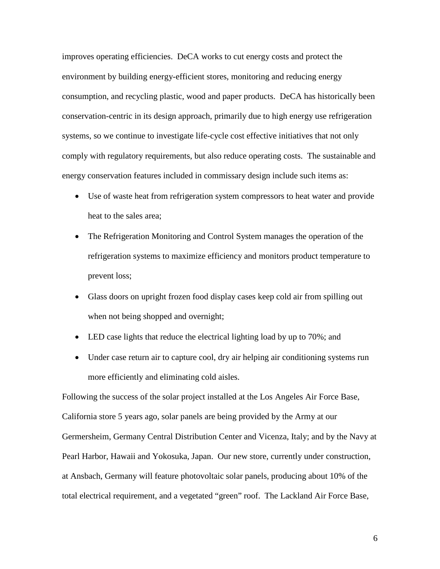improves operating efficiencies. DeCA works to cut energy costs and protect the environment by building energy-efficient stores, monitoring and reducing energy consumption, and recycling plastic, wood and paper products. DeCA has historically been conservation-centric in its design approach, primarily due to high energy use refrigeration systems, so we continue to investigate life-cycle cost effective initiatives that not only comply with regulatory requirements, but also reduce operating costs. The sustainable and energy conservation features included in commissary design include such items as:

- Use of waste heat from refrigeration system compressors to heat water and provide heat to the sales area;
- The Refrigeration Monitoring and Control System manages the operation of the refrigeration systems to maximize efficiency and monitors product temperature to prevent loss;
- Glass doors on upright frozen food display cases keep cold air from spilling out when not being shopped and overnight;
- LED case lights that reduce the electrical lighting load by up to 70%; and
- Under case return air to capture cool, dry air helping air conditioning systems run more efficiently and eliminating cold aisles.

Following the success of the solar project installed at the Los Angeles Air Force Base, California store 5 years ago, solar panels are being provided by the Army at our Germersheim, Germany Central Distribution Center and Vicenza, Italy; and by the Navy at Pearl Harbor, Hawaii and Yokosuka, Japan. Our new store, currently under construction, at Ansbach, Germany will feature photovoltaic solar panels, producing about 10% of the total electrical requirement, and a vegetated "green" roof. The Lackland Air Force Base,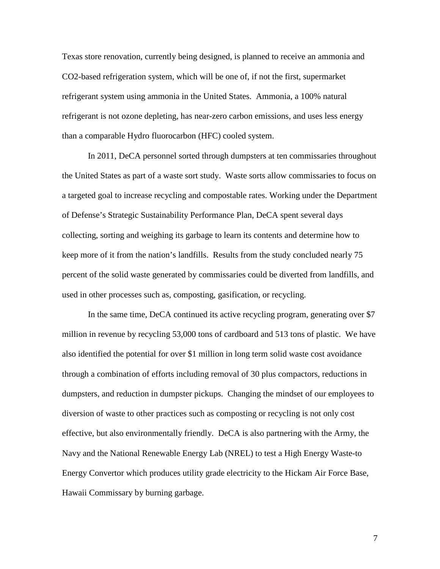Texas store renovation, currently being designed, is planned to receive an ammonia and CO2-based refrigeration system, which will be one of, if not the first, supermarket refrigerant system using ammonia in the United States. Ammonia, a 100% natural refrigerant is not ozone depleting, has near-zero carbon emissions, and uses less energy than a comparable Hydro fluorocarbon (HFC) cooled system.

In 2011, DeCA personnel sorted through dumpsters at ten commissaries throughout the United States as part of a waste sort study. Waste sorts allow commissaries to focus on a targeted goal to increase recycling and compostable rates. Working under the Department of Defense's Strategic Sustainability Performance Plan, DeCA spent several days collecting, sorting and weighing its garbage to learn its contents and determine how to keep more of it from the nation's landfills. Results from the study concluded nearly 75 percent of the solid waste generated by commissaries could be diverted from landfills, and used in other processes such as, composting, gasification, or recycling.

In the same time, DeCA continued its active recycling program, generating over \$7 million in revenue by recycling 53,000 tons of cardboard and 513 tons of plastic. We have also identified the potential for over \$1 million in long term solid waste cost avoidance through a combination of efforts including removal of 30 plus compactors, reductions in dumpsters, and reduction in dumpster pickups. Changing the mindset of our employees to diversion of waste to other practices such as composting or recycling is not only cost effective, but also environmentally friendly. DeCA is also partnering with the Army, the Navy and the National Renewable Energy Lab (NREL) to test a High Energy Waste-to Energy Convertor which produces utility grade electricity to the Hickam Air Force Base, Hawaii Commissary by burning garbage.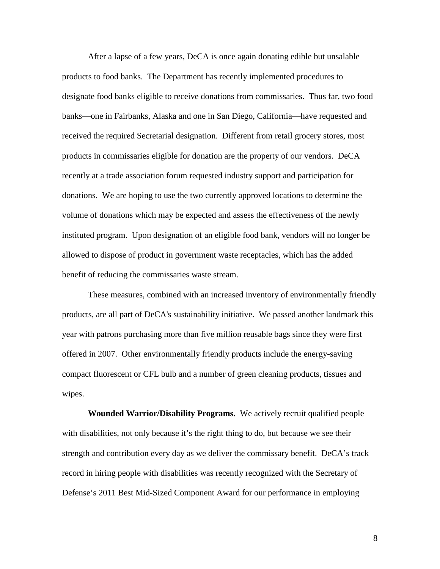After a lapse of a few years, DeCA is once again donating edible but unsalable products to food banks. The Department has recently implemented procedures to designate food banks eligible to receive donations from commissaries. Thus far, two food banks—one in Fairbanks, Alaska and one in San Diego, California—have requested and received the required Secretarial designation. Different from retail grocery stores, most products in commissaries eligible for donation are the property of our vendors. DeCA recently at a trade association forum requested industry support and participation for donations. We are hoping to use the two currently approved locations to determine the volume of donations which may be expected and assess the effectiveness of the newly instituted program. Upon designation of an eligible food bank, vendors will no longer be allowed to dispose of product in government waste receptacles, which has the added benefit of reducing the commissaries waste stream.

These measures, combined with an increased inventory of environmentally friendly products, are all part of DeCA's sustainability initiative. We passed another landmark this year with patrons purchasing more than five million reusable bags since they were first offered in 2007. Other environmentally friendly products include the energy-saving compact fluorescent or CFL bulb and a number of green cleaning products, tissues and wipes.

**Wounded Warrior/Disability Programs.** We actively recruit qualified people with disabilities, not only because it's the right thing to do, but because we see their strength and contribution every day as we deliver the commissary benefit. DeCA's track record in hiring people with disabilities was recently recognized with the Secretary of Defense's 2011 Best Mid-Sized Component Award for our performance in employing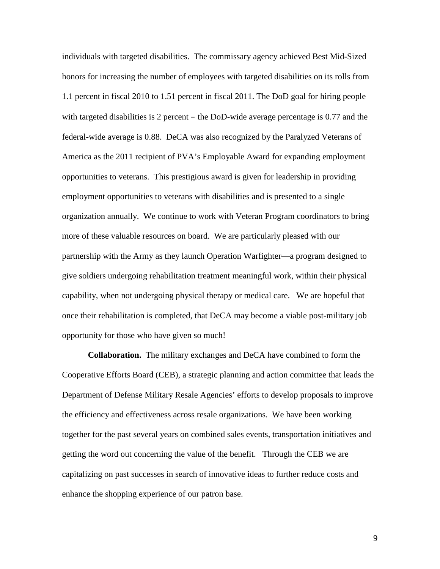individuals with targeted disabilities. The commissary agency achieved Best Mid-Sized honors for increasing the number of employees with targeted disabilities on its rolls from 1.1 percent in fiscal 2010 to 1.51 percent in fiscal 2011. The DoD goal for hiring people with targeted disabilities is 2 percent – the DoD-wide average percentage is 0.77 and the federal-wide average is 0.88. DeCA was also recognized by the Paralyzed Veterans of America as the 2011 recipient of PVA's Employable Award for expanding employment opportunities to veterans. This prestigious award is given for leadership in providing employment opportunities to veterans with disabilities and is presented to a single organization annually. We continue to work with Veteran Program coordinators to bring more of these valuable resources on board. We are particularly pleased with our partnership with the Army as they launch Operation Warfighter—a program designed to give soldiers undergoing rehabilitation treatment meaningful work, within their physical capability, when not undergoing physical therapy or medical care. We are hopeful that once their rehabilitation is completed, that DeCA may become a viable post-military job opportunity for those who have given so much!

**Collaboration.** The military exchanges and DeCA have combined to form the Cooperative Efforts Board (CEB), a strategic planning and action committee that leads the Department of Defense Military Resale Agencies' efforts to develop proposals to improve the efficiency and effectiveness across resale organizations. We have been working together for the past several years on combined sales events, transportation initiatives and getting the word out concerning the value of the benefit. Through the CEB we are capitalizing on past successes in search of innovative ideas to further reduce costs and enhance the shopping experience of our patron base.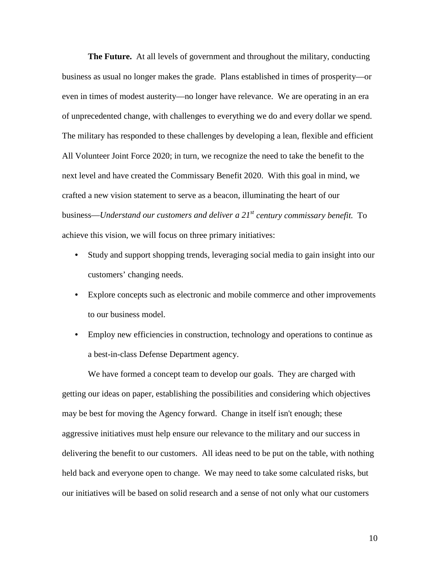**The Future.** At all levels of government and throughout the military, conducting business as usual no longer makes the grade. Plans established in times of prosperity—or even in times of modest austerity—no longer have relevance. We are operating in an era of unprecedented change, with challenges to everything we do and every dollar we spend. The military has responded to these challenges by developing a lean, flexible and efficient All Volunteer Joint Force 2020; in turn, we recognize the need to take the benefit to the next level and have created the Commissary Benefit 2020. With this goal in mind, we crafted a new vision statement to serve as a beacon, illuminating the heart of our business—*Understand our customers and deliver a 21st century commissary benefit.* To achieve this vision, we will focus on three primary initiatives:

- Study and support shopping trends, leveraging social media to gain insight into our customers' changing needs.
- Explore concepts such as electronic and mobile commerce and other improvements to our business model.
- Employ new efficiencies in construction, technology and operations to continue as a best-in-class Defense Department agency.

We have formed a concept team to develop our goals. They are charged with getting our ideas on paper, establishing the possibilities and considering which objectives may be best for moving the Agency forward. Change in itself isn't enough; these aggressive initiatives must help ensure our relevance to the military and our success in delivering the benefit to our customers. All ideas need to be put on the table, with nothing held back and everyone open to change. We may need to take some calculated risks, but our initiatives will be based on solid research and a sense of not only what our customers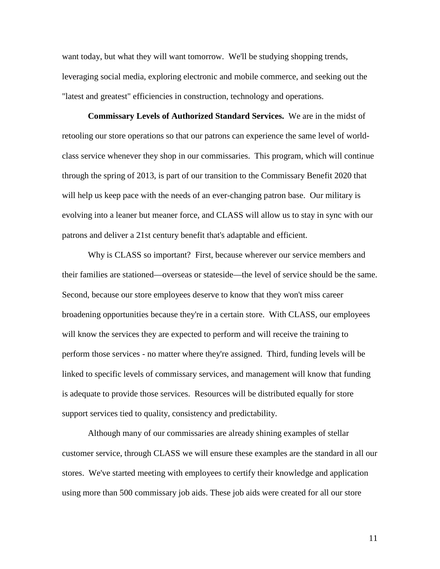want today, but what they will want tomorrow. We'll be studying shopping trends, leveraging social media, exploring electronic and mobile commerce, and seeking out the "latest and greatest" efficiencies in construction, technology and operations.

**Commissary Levels of Authorized Standard Services.** We are in the midst of retooling our store operations so that our patrons can experience the same level of worldclass service whenever they shop in our commissaries. This program, which will continue through the spring of 2013, is part of our transition to the Commissary Benefit 2020 that will help us keep pace with the needs of an ever-changing patron base. Our military is evolving into a leaner but meaner force, and CLASS will allow us to stay in sync with our patrons and deliver a 21st century benefit that's adaptable and efficient.

Why is CLASS so important? First, because wherever our service members and their families are stationed—overseas or stateside—the level of service should be the same. Second, because our store employees deserve to know that they won't miss career broadening opportunities because they're in a certain store. With CLASS, our employees will know the services they are expected to perform and will receive the training to perform those services - no matter where they're assigned. Third, funding levels will be linked to specific levels of commissary services, and management will know that funding is adequate to provide those services. Resources will be distributed equally for store support services tied to quality, consistency and predictability.

Although many of our commissaries are already shining examples of stellar customer service, through CLASS we will ensure these examples are the standard in all our stores. We've started meeting with employees to certify their knowledge and application using more than 500 commissary job aids. These job aids were created for all our store